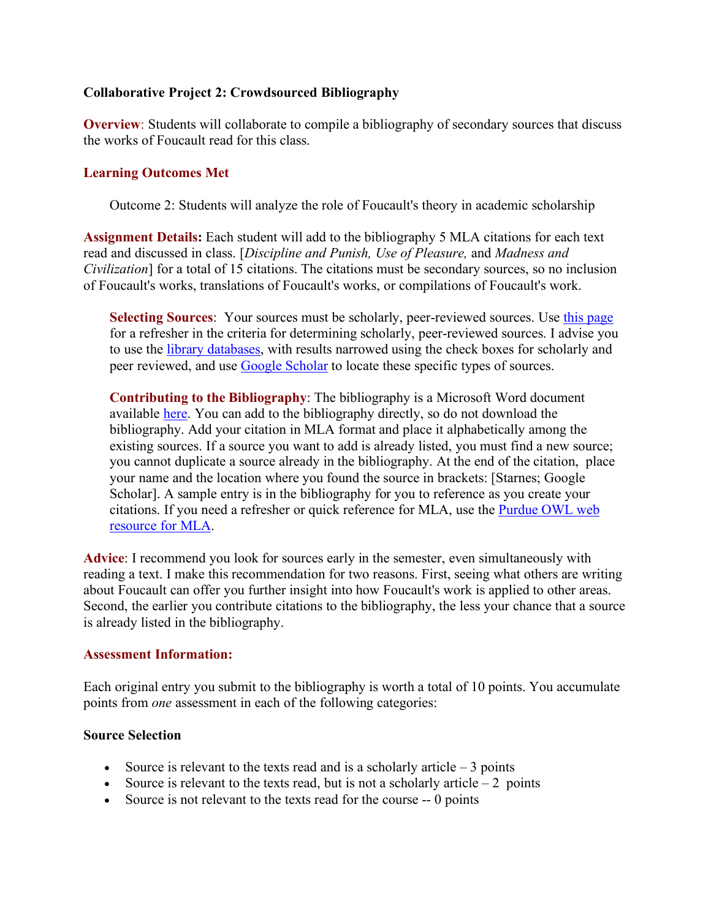### **Collaborative Project 2: Crowdsourced Bibliography**

**Overview**: Students will collaborate to compile a bibliography of secondary sources that discuss the works of Foucault read for this class.

#### **Learning Outcomes Met**

Outcome 2: Students will analyze the role of Foucault's theory in academic scholarship

**Assignment Details:** Each student will add to the bibliography 5 MLA citations for each text read and discussed in class. [*Discipline and Punish, Use of Pleasure,* and *Madness and Civilization*] for a total of 15 citations. The citations must be secondary sources, so no inclusion of Foucault's works, translations of Foucault's works, or compilations of Foucault's work.

**Selecting Sources**: Your sources must be scholarly, peer-reviewed sources. Use this page for a refresher in the criteria for determining scholarly, peer-reviewed sources. I advise you to use the library databases, with results narrowed using the check boxes for scholarly and peer reviewed, and use Google Scholar to locate these specific types of sources.

**Contributing to the Bibliography**: The bibliography is a Microsoft Word document available here. You can add to the bibliography directly, so do not download the bibliography. Add your citation in MLA format and place it alphabetically among the existing sources. If a source you want to add is already listed, you must find a new source; you cannot duplicate a source already in the bibliography. At the end of the citation, place your name and the location where you found the source in brackets: [Starnes; Google Scholar]. A sample entry is in the bibliography for you to reference as you create your citations. If you need a refresher or quick reference for MLA, use the Purdue OWL web resource for MLA.

**Advice**: I recommend you look for sources early in the semester, even simultaneously with reading a text. I make this recommendation for two reasons. First, seeing what others are writing about Foucault can offer you further insight into how Foucault's work is applied to other areas. Second, the earlier you contribute citations to the bibliography, the less your chance that a source is already listed in the bibliography.

#### **Assessment Information:**

Each original entry you submit to the bibliography is worth a total of 10 points. You accumulate points from *one* assessment in each of the following categories:

#### **Source Selection**

- Source is relevant to the texts read and is a scholarly article  $-3$  points
- Source is relevant to the texts read, but is not a scholarly article  $-2$  points
- Source is not relevant to the texts read for the course -- 0 points